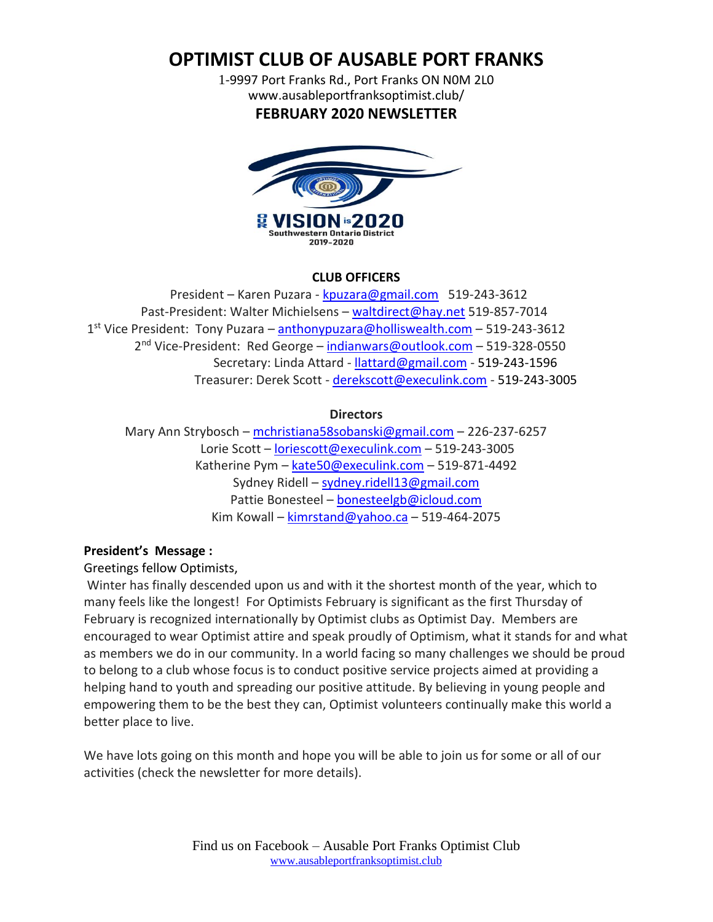# **OPTIMIST CLUB OF AUSABLE PORT FRANKS**

1-9997 Port Franks Rd., Port Franks ON N0M 2L0 www.ausableportfranksoptimist.club/ **FEBRUARY 2020 NEWSLETTER**



#### **CLUB OFFICERS**

 President – Karen Puzara - [kpuzara@gmail.com](mailto:kpuzara@gmail.com) 519-243-3612 Past-President: Walter Michielsens – [waltdirect@hay.net](../Newsletters%202016/waltdirect@hay.net) 519-857-7014 1<sup>st</sup> Vice President: Tony Puzara – **[anthonypuzara@holliswealth.com](../Newsletters%202016/anthonypuzara@holliswealth.com)** – 519-243-3612 2<sup>nd</sup> Vice-President: Red George – [indianwars@outlook.com](mailto:indianwars@outlook.com) – 519-328-0550 Secretary: Linda Attard - [llattard@gmail.com](mailto:llattard@gmail.com) - 519-243-1596 Treasurer: Derek Scott - [derekscott@execulink.com](../Newsletters%202016/derekscott@execulink.com) - 519-243-3005

#### **Directors**

 Mary Ann Strybosch – [mchristiana58sobanski@gmail.com](mailto:mchristiana58sobanski@gmail.com) – 226-237-6257 Lorie Scott – [loriescott@execulink.com](mailto:loriescott@execulink.com) – 519-243-3005 Katherine Pym – [kate50@execulink.com](mailto:kate50@execulink.com) – 519-871-4492 Sydney Ridell – [sydney.ridell13@gmail.com](mailto:sydney.ridell13@gmail.com) Pattie Bonesteel – [bonesteelgb@icloud.com](mailto:bonesteelgb@icloud.com) Kim Kowall – [kimrstand@yahoo.ca](mailto:kimrstand@yahoo.ca) – 519-464-2075

#### **President's Message :**

#### Greetings fellow Optimists,

Winter has finally descended upon us and with it the shortest month of the year, which to many feels like the longest! For Optimists February is significant as the first Thursday of February is recognized internationally by Optimist clubs as Optimist Day. Members are encouraged to wear Optimist attire and speak proudly of Optimism, what it stands for and what as members we do in our community. In a world facing so many challenges we should be proud to belong to a club whose focus is to conduct positive service projects aimed at providing a helping hand to youth and spreading our positive attitude. By believing in young people and empowering them to be the best they can, Optimist volunteers continually make this world a better place to live.

We have lots going on this month and hope you will be able to join us for some or all of our activities (check the newsletter for more details).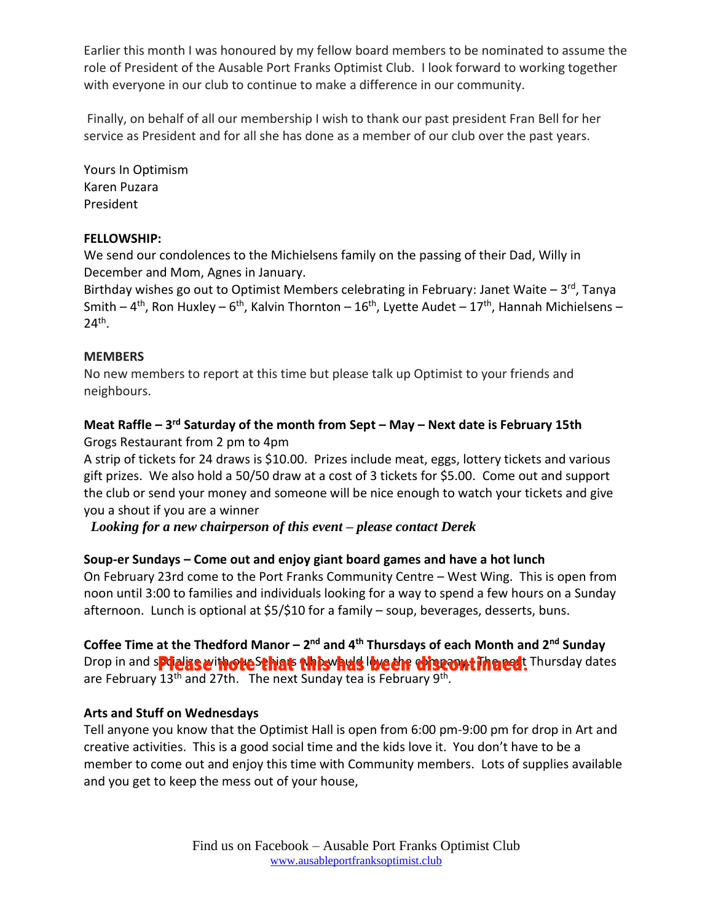Earlier this month I was honoured by my fellow board members to be nominated to assume the role of President of the Ausable Port Franks Optimist Club. I look forward to working together with everyone in our club to continue to make a difference in our community.

Finally, on behalf of all our membership I wish to thank our past president Fran Bell for her service as President and for all she has done as a member of our club over the past years.

Yours In Optimism Karen Puzara President

#### **FELLOWSHIP:**

We send our condolences to the Michielsens family on the passing of their Dad, Willy in December and Mom, Agnes in January.

Birthday wishes go out to Optimist Members celebrating in February: Janet Waite - 3<sup>rd</sup>, Tanya Smith – 4<sup>th</sup>, Ron Huxley – 6<sup>th</sup>, Kalvin Thornton – 16<sup>th</sup>, Lyette Audet – 17<sup>th</sup>, Hannah Michielsens – 24th .

#### **MEMBERS**

No new members to report at this time but please talk up Optimist to your friends and neighbours.

# **Meat Raffle – 3 rd Saturday of the month from Sept – May – Next date is February 15th**

Grogs Restaurant from 2 pm to 4pm

A strip of tickets for 24 draws is \$10.00. Prizes include meat, eggs, lottery tickets and various gift prizes. We also hold a 50/50 draw at a cost of 3 tickets for \$5.00. Come out and support the club or send your money and someone will be nice enough to watch your tickets and give you a shout if you are a winner

*Looking for a new chairperson of this event – please contact Derek*

# **Soup-er Sundays – Come out and enjoy giant board games and have a hot lunch**

On February 23rd come to the Port Franks Community Centre – West Wing. This is open from noon until 3:00 to families and individuals looking for a way to spend a few hours on a Sunday afternoon. Lunch is optional at \$5/\$10 for a family – soup, beverages, desserts, buns.

**Coffee Time at the Thedford Manor – 2 nd and 4th Thursdays of each Month and 2nd Sunday** Drop in and splease inote<sup>sthat</sup> this has love in discontinued: Thursday dates are February 13<sup>th</sup> and 27th. The next Sunday tea is February 9<sup>th</sup>.

# **Arts and Stuff on Wednesdays**

Tell anyone you know that the Optimist Hall is open from 6:00 pm-9:00 pm for drop in Art and creative activities. This is a good social time and the kids love it. You don't have to be a member to come out and enjoy this time with Community members. Lots of supplies available and you get to keep the mess out of your house,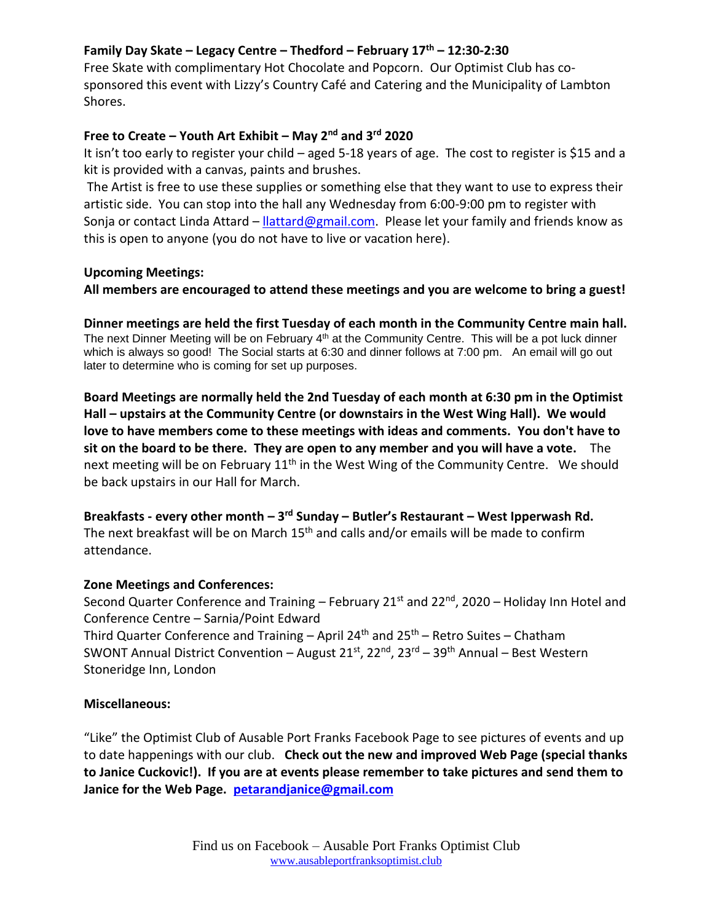# **Family Day Skate – Legacy Centre – Thedford – February 17th – 12:30-2:30**

Free Skate with complimentary Hot Chocolate and Popcorn. Our Optimist Club has cosponsored this event with Lizzy's Country Café and Catering and the Municipality of Lambton Shores.

# **Free to Create – Youth Art Exhibit – May 2 nd and 3rd 2020**

It isn't too early to register your child – aged 5-18 years of age. The cost to register is \$15 and a kit is provided with a canvas, paints and brushes.

The Artist is free to use these supplies or something else that they want to use to express their artistic side. You can stop into the hall any Wednesday from 6:00-9:00 pm to register with Sonja or contact Linda Attard – [llattard@gmail.com.](mailto:llattard@gmail.com) Please let your family and friends know as this is open to anyone (you do not have to live or vacation here).

#### **Upcoming Meetings:**

**All members are encouraged to attend these meetings and you are welcome to bring a guest!** 

**Dinner meetings are held the first Tuesday of each month in the Community Centre main hall.** The next Dinner Meeting will be on February 4<sup>th</sup> at the Community Centre. This will be a pot luck dinner which is always so good! The Social starts at 6:30 and dinner follows at 7:00 pm. An email will go out later to determine who is coming for set up purposes.

**Board Meetings are normally held the 2nd Tuesday of each month at 6:30 pm in the Optimist Hall – upstairs at the Community Centre (or downstairs in the West Wing Hall). We would love to have members come to these meetings with ideas and comments. You don't have to sit on the board to be there. They are open to any member and you will have a vote.** The next meeting will be on February  $11<sup>th</sup>$  in the West Wing of the Community Centre. We should be back upstairs in our Hall for March.

**Breakfasts - every other month – 3 rd Sunday – Butler's Restaurant – West Ipperwash Rd.** The next breakfast will be on March  $15<sup>th</sup>$  and calls and/or emails will be made to confirm attendance.

# **Zone Meetings and Conferences:**

Second Quarter Conference and Training – February 21<sup>st</sup> and 22<sup>nd</sup>, 2020 – Holiday Inn Hotel and Conference Centre – Sarnia/Point Edward Third Quarter Conference and Training – April 24<sup>th</sup> and 25<sup>th</sup> – Retro Suites – Chatham

SWONT Annual District Convention – August 21st, 22nd, 23rd – 39th Annual – Best Western Stoneridge Inn, London

# **Miscellaneous:**

"Like" the Optimist Club of Ausable Port Franks Facebook Page to see pictures of events and up to date happenings with our club. **Check out the new and improved Web Page (special thanks to Janice Cuckovic!). If you are at events please remember to take pictures and send them to Janice for the Web Page. [petarandjanice@gmail.com](mailto:petarandjanice@gmail.com)**